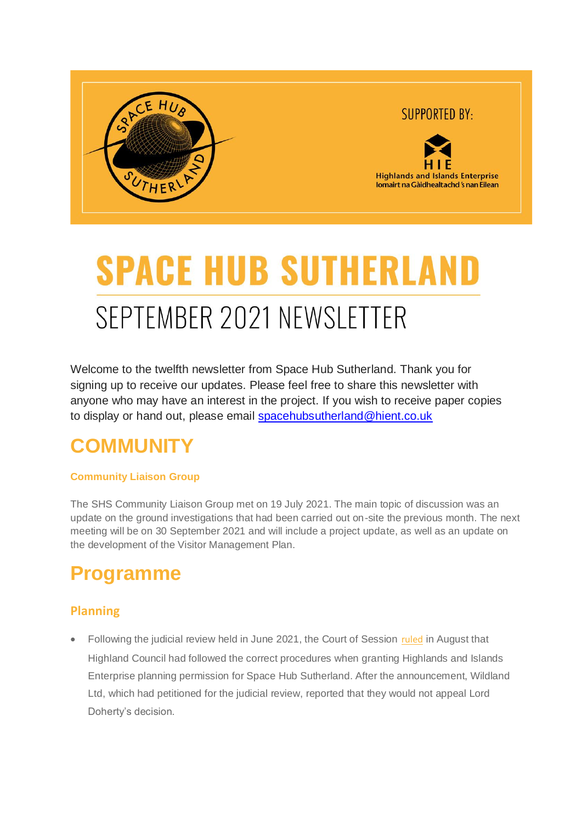

# **SPACE HUB SUTHERLAN** SEPTEMBER 2021 NEWSLETTER

Welcome to the twelfth newsletter from Space Hub Sutherland. Thank you for signing up to receive our updates. Please feel free to share this newsletter with anyone who may have an interest in the project. If you wish to receive paper copies to display or hand out, please email [spacehubsutherland@hient.co.uk](mailto:spacehubsutherland@hient.co.uk)

### **COMMUNITY**

#### **Community Liaison Group**

The SHS Community Liaison Group met on 19 July 2021. The main topic of discussion was an update on the ground investigations that had been carried out on-site the previous month. The next meeting will be on 30 September 2021 and will include a project update, as well as an update on the development of the Visitor Management Plan.

### **Programme**

### **Planning**

• Following the judicial review held in June 2021, the Court of Session [ruled](https://gbr01.safelinks.protection.outlook.com/?url=https%3A%2F%2Fwww.scotcourts.gov.uk%2Fsearch-judgments%2Fjudgment-search%3FindexCatalogue%3Dcourt-of-session-judgments%26searchQuery%3DWildland%26wordsMode%3D0%26utm_source%3DUK%2BVertical%2BLaunch%2B%2528UKVL%2529%2BSutherland%2Bspaceport%2Bproject%2Bnewsletter%26utm_campaign%3D6c5b8dccbf-TIDINGS%2Bfrom%2BMalin%2Bhouse_COPY_01%26utm_medium%3Demail%26utm_term%3D0_19a9c05490-6c5b8dccbf-%26mc_cid%3D6c5b8dccbf%26mc_eid%3DUNIQID&data=04%7C01%7C%7C05f3ea80d12949ddf94808d983dc2ed5%7C567f648e37f44490a4882a8c419baaba%7C0%7C0%7C637685803978402566%7CUnknown%7CTWFpbGZsb3d8eyJWIjoiMC4wLjAwMDAiLCJQIjoiV2luMzIiLCJBTiI6Ik1haWwiLCJXVCI6Mn0%3D%7C1000&sdata=AMqQyuouobPWgEP8smSVe4yM4CccEAk%2BW4ZFWPYb9No%3D&reserved=0) in August that Highland Council had followed the correct procedures when granting Highlands and Islands Enterprise planning permission for Space Hub Sutherland. After the announcement, Wildland Ltd, which had petitioned for the judicial review, reported that they would not appeal Lord Doherty's decision.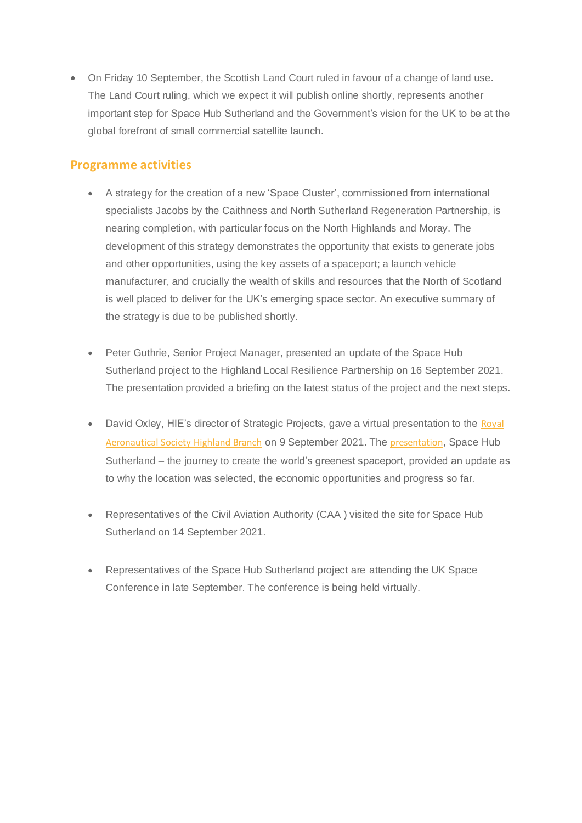• On Friday 10 September, the Scottish Land Court ruled in favour of a change of land use. The Land Court ruling, which we expect it will publish online shortly, represents another important step for Space Hub Sutherland and the Government's vision for the UK to be at the global forefront of small commercial satellite launch.

#### **Programme activities**

- A strategy for the creation of a new 'Space Cluster', commissioned from international specialists Jacobs by the Caithness and North Sutherland Regeneration Partnership, is nearing completion, with particular focus on the North Highlands and Moray. The development of this strategy demonstrates the opportunity that exists to generate jobs and other opportunities, using the key assets of a spaceport; a launch vehicle manufacturer, and crucially the wealth of skills and resources that the North of Scotland is well placed to deliver for the UK's emerging space sector. An executive summary of the strategy is due to be published shortly.
- Peter Guthrie, Senior Project Manager, presented an update of the Space Hub Sutherland project to the Highland Local Resilience Partnership on 16 September 2021. The presentation provided a briefing on the latest status of the project and the next steps.
- David Oxley, HIE's director of Strategic Projects, gave a virtual presentation to the Royal [Aeronautical Society Highland Branch](https://gbr01.safelinks.protection.outlook.com/?url=https%3A%2F%2Fwww.eventbrite.com%2Fo%2Froyal-aeronautical-society-highland-branch-33244402163%3Futm_source%3DUK%2BVertical%2BLaunch%2B%2528UKVL%2529%2BSutherland%2Bspaceport%2Bproject%2Bnewsletter%26utm_campaign%3D6c5b8dccbf-TIDINGS%2Bfrom%2BMalin%2Bhouse_COPY_01%26utm_medium%3Demail%26utm_term%3D0_19a9c05490-6c5b8dccbf-%26mc_cid%3D6c5b8dccbf%26mc_eid%3DUNIQID&data=04%7C01%7C%7C05f3ea80d12949ddf94808d983dc2ed5%7C567f648e37f44490a4882a8c419baaba%7C0%7C0%7C637685803978402566%7CUnknown%7CTWFpbGZsb3d8eyJWIjoiMC4wLjAwMDAiLCJQIjoiV2luMzIiLCJBTiI6Ik1haWwiLCJXVCI6Mn0%3D%7C1000&sdata=FFXKQGdeYDGuEbdZd4vZgmdeaMe0WpcKTcQLMcGYe1M%3D&reserved=0) on 9 September 2021. The [presentation](https://gbr01.safelinks.protection.outlook.com/?url=https%3A%2F%2Fyoutu.be%2FrTeXCplOapk%3Futm_source%3DUK%2BVertical%2BLaunch%2B%2528UKVL%2529%2BSutherland%2Bspaceport%2Bproject%2Bnewsletter%26utm_campaign%3D6c5b8dccbf-TIDINGS%2Bfrom%2BMalin%2Bhouse_COPY_01%26utm_medium%3Demail%26utm_term%3D0_19a9c05490-6c5b8dccbf-%26mc_cid%3D6c5b8dccbf%26mc_eid%3DUNIQID&data=04%7C01%7C%7C05f3ea80d12949ddf94808d983dc2ed5%7C567f648e37f44490a4882a8c419baaba%7C0%7C0%7C637685803978412522%7CUnknown%7CTWFpbGZsb3d8eyJWIjoiMC4wLjAwMDAiLCJQIjoiV2luMzIiLCJBTiI6Ik1haWwiLCJXVCI6Mn0%3D%7C1000&sdata=xe9YlHnGBn416oWki5bHs47XPEtOV0rek8wyllpjbik%3D&reserved=0), Space Hub Sutherland – the journey to create the world's greenest spaceport, provided an update as to why the location was selected, the economic opportunities and progress so far.
- Representatives of the Civil Aviation Authority (CAA ) visited the site for Space Hub Sutherland on 14 September 2021.
- Representatives of the Space Hub Sutherland project are attending the UK Space Conference in late September. The conference is being held virtually.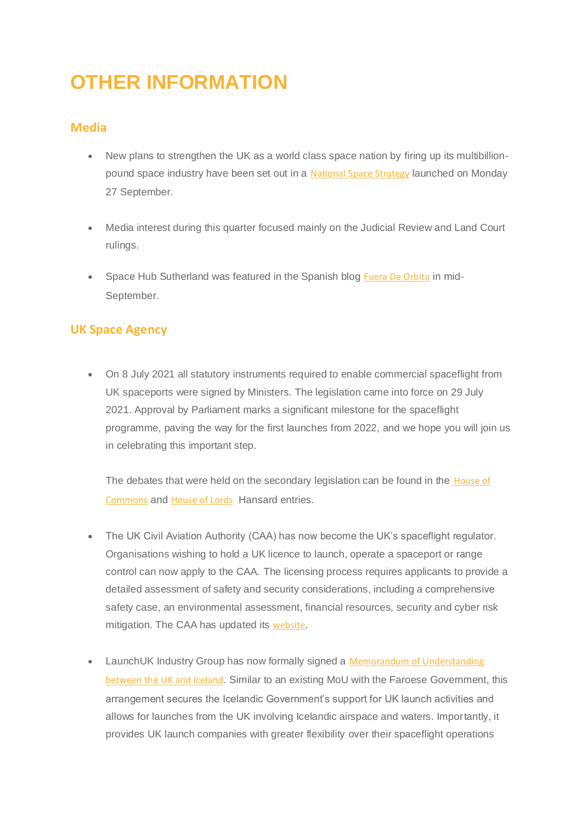## **OTHER INFORMATION**

#### **Media**

- New plans to strengthen the UK as a world class space nation by firing up its multibillion-pound space industry have been set out in a [National Space Strategy](https://gbr01.safelinks.protection.outlook.com/?url=https%3A%2F%2Fwww.gov.uk%2Fgovernment%2Fpublications%2Fnational-space-strategy&data=04%7C01%7C%7C05f3ea80d12949ddf94808d983dc2ed5%7C567f648e37f44490a4882a8c419baaba%7C0%7C0%7C637685803978412522%7CUnknown%7CTWFpbGZsb3d8eyJWIjoiMC4wLjAwMDAiLCJQIjoiV2luMzIiLCJBTiI6Ik1haWwiLCJXVCI6Mn0%3D%7C1000&sdata=KbCqSgwTeb73DvjPOJ19Ud%2B1KGn3VykHq1PO9Z%2FijXw%3D&reserved=0) launched on Monday 27 September.
- Media interest during this quarter focused mainly on the Judicial Review and Land Court rulings.
- Space Hub Sutherland was featured in the Spanish blog [Fuera De Orbita](https://gbr01.safelinks.protection.outlook.com/?url=https%3A%2F%2Ffueradorbita.home.blog%2F2021%2F09%2F20%2Fthe-scottish-spaceport-will-be-the-greenest-in-the-world%2F%3Futm_source%3DUK%2BVertical%2BLaunch%2B%2528UKVL%2529%2BSutherland%2Bspaceport%2Bproject%2Bnewsletter%26utm_campaign%3D6c5b8dccbf-TIDINGS%2Bfrom%2BMalin%2Bhouse_COPY_01%26utm_medium%3Demail%26utm_term%3D0_19a9c05490-6c5b8dccbf-%26mc_cid%3D6c5b8dccbf%26mc_eid%3DUNIQID&data=04%7C01%7C%7C05f3ea80d12949ddf94808d983dc2ed5%7C567f648e37f44490a4882a8c419baaba%7C0%7C0%7C637685803978412522%7CUnknown%7CTWFpbGZsb3d8eyJWIjoiMC4wLjAwMDAiLCJQIjoiV2luMzIiLCJBTiI6Ik1haWwiLCJXVCI6Mn0%3D%7C1000&sdata=y9JeI570jyUpcux66eBVkg%2BdduTshd1gpdHTLd0mNaQ%3D&reserved=0) in mid-September.

#### **UK Space Agency**

• On 8 July 2021 all statutory instruments required to enable commercial spaceflight from UK spaceports were signed by Ministers. The legislation came into force on 29 July 2021. Approval by Parliament marks a significant milestone for the spaceflight programme, paving the way for the first launches from 2022, and we hope you will join us in celebrating this important step.

The debates that were held on the secondary legislation can be found in the House of [Commons](https://gbr01.safelinks.protection.outlook.com/?url=https%3A%2F%2Fhansard.parliament.uk%2Fcommons%2F2021-06-28%2Fdebates%2Fac8f7570-7f01-4cca-9d60-18d5768c34a0%2FDraftContractingOut(FunctionsInRelationToSpace)Order2021DraftSpaceIndustryRegulations2021DraftSpaceIndustry(Appeals)Regulations2021DraftSpaceflightAct&data=04%7C01%7C%7C05f3ea80d12949ddf94808d983dc2ed5%7C567f648e37f44490a4882a8c419baaba%7C0%7C0%7C637685803978422480%7CUnknown%7CTWFpbGZsb3d8eyJWIjoiMC4wLjAwMDAiLCJQIjoiV2luMzIiLCJBTiI6Ik1haWwiLCJXVCI6Mn0%3D%7C1000&sdata=A2IE5wup2UmnrgIF9%2FO%2FoJ18lxNBG4ZtbcULZuGXdc0%3D&reserved=0) and [House of Lords](https://gbr01.safelinks.protection.outlook.com/?url=https%3A%2F%2Fhansard.parliament.uk%2Flords%2F2021-06-29%2Fdebates%2F43540642-86F2-4A34-91D9-8A0B6D6D766D%2FSpaceIndustry(Appeals)Regulations2021&data=04%7C01%7C%7C05f3ea80d12949ddf94808d983dc2ed5%7C567f648e37f44490a4882a8c419baaba%7C0%7C0%7C637685803978422480%7CUnknown%7CTWFpbGZsb3d8eyJWIjoiMC4wLjAwMDAiLCJQIjoiV2luMzIiLCJBTiI6Ik1haWwiLCJXVCI6Mn0%3D%7C1000&sdata=E0zl7UW7hHpgvQAzqecwUFJ9DuJiqlpVrTCfoGPcdL4%3D&reserved=0) Hansard entries.

- The UK Civil Aviation Authority (CAA) has now become the UK's spaceflight regulator. Organisations wishing to hold a UK licence to launch, operate a spaceport or range control can now apply to the CAA. The licensing process requires applicants to provide a detailed assessment of safety and security considerations, including a comprehensive safety case, an environmental assessment, financial resources, security and cyber risk mitigation. The CAA has updated its [website](https://gbr01.safelinks.protection.outlook.com/?url=https%3A%2F%2Fcaa.us4.list-manage.com%2Ftrack%2Fclick%3Fu%3D9a13f6185a0a697970bd3de1d%26id%3Dc598f2ca84%26e%3D7dbe2349f4&data=04%7C01%7C%7C05f3ea80d12949ddf94808d983dc2ed5%7C567f648e37f44490a4882a8c419baaba%7C0%7C0%7C637685803978422480%7CUnknown%7CTWFpbGZsb3d8eyJWIjoiMC4wLjAwMDAiLCJQIjoiV2luMzIiLCJBTiI6Ik1haWwiLCJXVCI6Mn0%3D%7C1000&sdata=T3JSjtkuaaPw40K76ySiJu2KU8Ub9oxbvJdBGDCmrVg%3D&reserved=0).
- LaunchUK Industry Group has now formally signed a Memorandum of Understanding [between the UK and Iceland](https://gbr01.safelinks.protection.outlook.com/?url=https%3A%2F%2Fwww.gov.uk%2Fgovernment%2Fpublications%2Fmemoranda-of-understanding-international%3Futm_source%3DUK%2BVertical%2BLaunch%2B%2528UKVL%2529%2BSutherland%2Bspaceport%2Bproject%2Bnewsletter%26utm_campaign%3D6c5b8dccbf-TIDINGS%2Bfrom%2BMalin%2Bhouse_COPY_01%26utm_medium%3Demail%26utm_term%3D0_19a9c05490-6c5b8dccbf-%26mc_cid%3D6c5b8dccbf%26mc_eid%3DUNIQID&data=04%7C01%7C%7C05f3ea80d12949ddf94808d983dc2ed5%7C567f648e37f44490a4882a8c419baaba%7C0%7C0%7C637685803978432434%7CUnknown%7CTWFpbGZsb3d8eyJWIjoiMC4wLjAwMDAiLCJQIjoiV2luMzIiLCJBTiI6Ik1haWwiLCJXVCI6Mn0%3D%7C1000&sdata=ftqTDk0ArSl5t4BcRLIrpbOPCzfTSK1fFfNfaQKPBag%3D&reserved=0). Similar to an existing MoU with the Faroese Government, this arrangement secures the Icelandic Government's support for UK launch activities and allows for launches from the UK involving Icelandic airspace and waters. Importantly, it provides UK launch companies with greater flexibility over their spaceflight operations